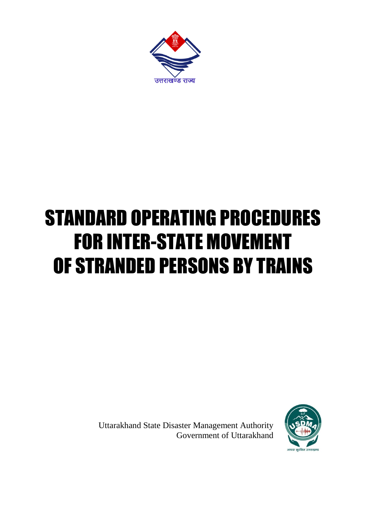

## STANDARD OPERATING PROCEDURES FOR INTER-STATE MOVEMENT OF STRANDED PERSONS BY TRAINS

Uttarakhand State Disaster Management Authority Government of Uttarakhand

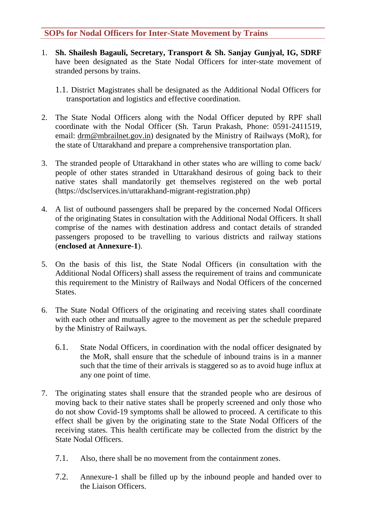## **SOPs for Nodal Officers for Inter-State Movement by Trains**

- 1. **Sh. Shailesh Bagauli, Secretary, Transport & Sh. Sanjay Gunjyal, IG, SDRF**  have been designated as the State Nodal Officers for inter-state movement of stranded persons by trains.
	- 1.1. District Magistrates shall be designated as the Additional Nodal Officers for transportation and logistics and effective coordination.
- 2. The State Nodal Officers along with the Nodal Officer deputed by RPF shall coordinate with the Nodal Officer (Sh. Tarun Prakash, Phone: 0591-2411519, email: [drm@mbrailnet.gov.in\)](mailto:drm@mbrailnet.gov.in) designated by the Ministry of Railways (MoR), for the state of Uttarakhand and prepare a comprehensive transportation plan.
- 3. The stranded people of Uttarakhand in other states who are willing to come back/ people of other states stranded in Uttarakhand desirous of going back to their native states shall mandatorily get themselves registered on the web portal (https://dsclservices.in/uttarakhand-migrant-registration.php)
- 4. A list of outbound passengers shall be prepared by the concerned Nodal Officers of the originating States in consultation with the Additional Nodal Officers. It shall comprise of the names with destination address and contact details of stranded passengers proposed to be travelling to various districts and railway stations (**enclosed at Annexure-1**).
- 5. On the basis of this list, the State Nodal Officers (in consultation with the Additional Nodal Officers) shall assess the requirement of trains and communicate this requirement to the Ministry of Railways and Nodal Officers of the concerned States.
- 6. The State Nodal Officers of the originating and receiving states shall coordinate with each other and mutually agree to the movement as per the schedule prepared by the Ministry of Railways.
	- 6.1. State Nodal Officers, in coordination with the nodal officer designated by the MoR, shall ensure that the schedule of inbound trains is in a manner such that the time of their arrivals is staggered so as to avoid huge influx at any one point of time.
- 7. The originating states shall ensure that the stranded people who are desirous of moving back to their native states shall be properly screened and only those who do not show Covid-19 symptoms shall be allowed to proceed. A certificate to this effect shall be given by the originating state to the State Nodal Officers of the receiving states. This health certificate may be collected from the district by the State Nodal Officers.
	- 7.1. Also, there shall be no movement from the containment zones.
	- 7.2. Annexure-1 shall be filled up by the inbound people and handed over to the Liaison Officers.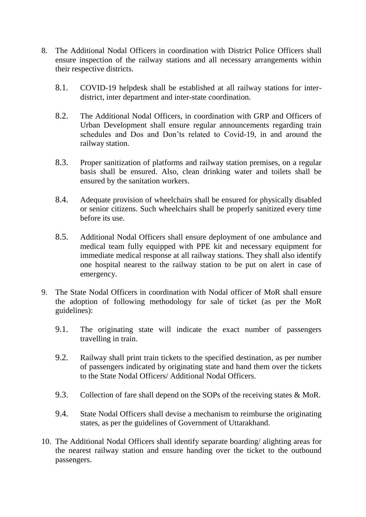- 8. The Additional Nodal Officers in coordination with District Police Officers shall ensure inspection of the railway stations and all necessary arrangements within their respective districts.
	- 8.1. COVID-19 helpdesk shall be established at all railway stations for interdistrict, inter department and inter-state coordination.
	- 8.2. The Additional Nodal Officers, in coordination with GRP and Officers of Urban Development shall ensure regular announcements regarding train schedules and Dos and Don'ts related to Covid-19, in and around the railway station.
	- 8.3. Proper sanitization of platforms and railway station premises, on a regular basis shall be ensured. Also, clean drinking water and toilets shall be ensured by the sanitation workers.
	- 8.4. Adequate provision of wheelchairs shall be ensured for physically disabled or senior citizens. Such wheelchairs shall be properly sanitized every time before its use.
	- 8.5. Additional Nodal Officers shall ensure deployment of one ambulance and medical team fully equipped with PPE kit and necessary equipment for immediate medical response at all railway stations. They shall also identify one hospital nearest to the railway station to be put on alert in case of emergency.
- 9. The State Nodal Officers in coordination with Nodal officer of MoR shall ensure the adoption of following methodology for sale of ticket (as per the MoR guidelines):
	- 9.1. The originating state will indicate the exact number of passengers travelling in train.
	- 9.2. Railway shall print train tickets to the specified destination, as per number of passengers indicated by originating state and hand them over the tickets to the State Nodal Officers/ Additional Nodal Officers.
	- 9.3. Collection of fare shall depend on the SOPs of the receiving states & MoR.
	- 9.4. State Nodal Officers shall devise a mechanism to reimburse the originating states, as per the guidelines of Government of Uttarakhand.
- 10. The Additional Nodal Officers shall identify separate boarding/ alighting areas for the nearest railway station and ensure handing over the ticket to the outbound passengers.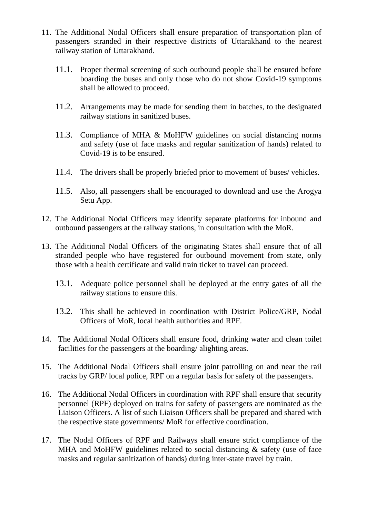- 11. The Additional Nodal Officers shall ensure preparation of transportation plan of passengers stranded in their respective districts of Uttarakhand to the nearest railway station of Uttarakhand.
	- 11.1. Proper thermal screening of such outbound people shall be ensured before boarding the buses and only those who do not show Covid-19 symptoms shall be allowed to proceed.
	- 11.2. Arrangements may be made for sending them in batches, to the designated railway stations in sanitized buses.
	- 11.3. Compliance of MHA & MoHFW guidelines on social distancing norms and safety (use of face masks and regular sanitization of hands) related to Covid-19 is to be ensured.
	- 11.4. The drivers shall be properly briefed prior to movement of buses/ vehicles.
	- 11.5. Also, all passengers shall be encouraged to download and use the Arogya Setu App.
- 12. The Additional Nodal Officers may identify separate platforms for inbound and outbound passengers at the railway stations, in consultation with the MoR.
- 13. The Additional Nodal Officers of the originating States shall ensure that of all stranded people who have registered for outbound movement from state, only those with a health certificate and valid train ticket to travel can proceed.
	- 13.1. Adequate police personnel shall be deployed at the entry gates of all the railway stations to ensure this.
	- 13.2. This shall be achieved in coordination with District Police/GRP, Nodal Officers of MoR, local health authorities and RPF.
- 14. The Additional Nodal Officers shall ensure food, drinking water and clean toilet facilities for the passengers at the boarding/ alighting areas.
- 15. The Additional Nodal Officers shall ensure joint patrolling on and near the rail tracks by GRP/ local police, RPF on a regular basis for safety of the passengers.
- 16. The Additional Nodal Officers in coordination with RPF shall ensure that security personnel (RPF) deployed on trains for safety of passengers are nominated as the Liaison Officers. A list of such Liaison Officers shall be prepared and shared with the respective state governments/ MoR for effective coordination.
- 17. The Nodal Officers of RPF and Railways shall ensure strict compliance of the MHA and MoHFW guidelines related to social distancing & safety (use of face masks and regular sanitization of hands) during inter-state travel by train.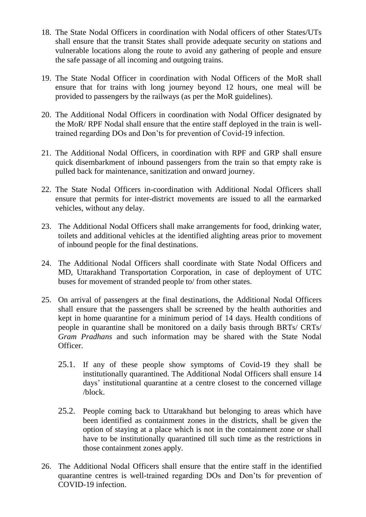- 18. The State Nodal Officers in coordination with Nodal officers of other States/UTs shall ensure that the transit States shall provide adequate security on stations and vulnerable locations along the route to avoid any gathering of people and ensure the safe passage of all incoming and outgoing trains.
- 19. The State Nodal Officer in coordination with Nodal Officers of the MoR shall ensure that for trains with long journey beyond 12 hours, one meal will be provided to passengers by the railways (as per the MoR guidelines).
- 20. The Additional Nodal Officers in coordination with Nodal Officer designated by the MoR/ RPF Nodal shall ensure that the entire staff deployed in the train is welltrained regarding DOs and Don'ts for prevention of Covid-19 infection.
- 21. The Additional Nodal Officers, in coordination with RPF and GRP shall ensure quick disembarkment of inbound passengers from the train so that empty rake is pulled back for maintenance, sanitization and onward journey.
- 22. The State Nodal Officers in-coordination with Additional Nodal Officers shall ensure that permits for inter-district movements are issued to all the earmarked vehicles, without any delay.
- 23. The Additional Nodal Officers shall make arrangements for food, drinking water, toilets and additional vehicles at the identified alighting areas prior to movement of inbound people for the final destinations.
- 24. The Additional Nodal Officers shall coordinate with State Nodal Officers and MD, Uttarakhand Transportation Corporation, in case of deployment of UTC buses for movement of stranded people to/ from other states.
- 25. On arrival of passengers at the final destinations, the Additional Nodal Officers shall ensure that the passengers shall be screened by the health authorities and kept in home quarantine for a minimum period of 14 days. Health conditions of people in quarantine shall be monitored on a daily basis through BRTs/ CRTs/ *Gram Pradhans* and such information may be shared with the State Nodal Officer.
	- 25.1. If any of these people show symptoms of Covid-19 they shall be institutionally quarantined. The Additional Nodal Officers shall ensure 14 days' institutional quarantine at a centre closest to the concerned village /block.
	- 25.2. People coming back to Uttarakhand but belonging to areas which have been identified as containment zones in the districts, shall be given the option of staying at a place which is not in the containment zone or shall have to be institutionally quarantined till such time as the restrictions in those containment zones apply.
- 26. The Additional Nodal Officers shall ensure that the entire staff in the identified quarantine centres is well-trained regarding DOs and Don'ts for prevention of COVID-19 infection.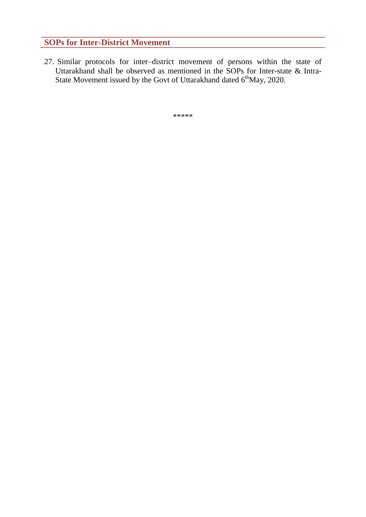## **SOPs for Inter-District Movement**

27. Similar protocols for inter–district movement of persons within the state of Uttarakhand shall be observed as mentioned in the SOPs for Inter-state & Intra-State Movement issued by the Govt of Uttarakhand dated  $6<sup>th</sup>$ May, 2020.

\*\*\*\*\*